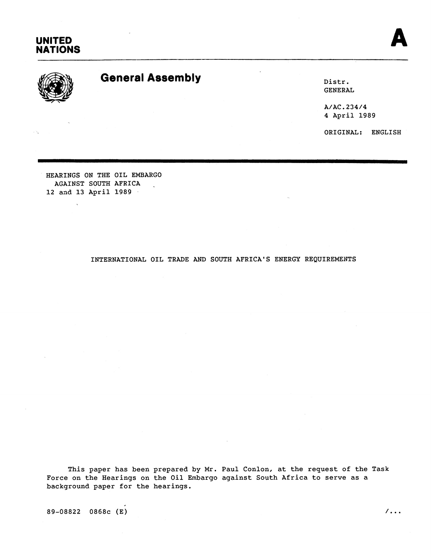





# General Assembly **Exercise 2 and Solution 2 and Solution 2 and District Control 2 and District Control 2 and District Control 2 and District Control 2 and District Control 2 and District Control 2 and District Control 2 an**

GENERAL

A/AC.234/4 **4** April 1989

ORIGINAL: ENGLISH

HEARINGS ON THE OIL EMBARGO AGAINST SOUTH AFRICA . 12 and 13 April 1989

÷.

## INTERNATIONAL OIL TRADE AND SOUTH AFRICA'S ENERGY REQUIREMENTS

This paper has been prepared by Mr. Paul Conlon, at the request of the Task Force on the Hearings on the Oil Embargo against South Africa to serve as a background paper for the hearings.

 $89-08822$  0868c (E) /...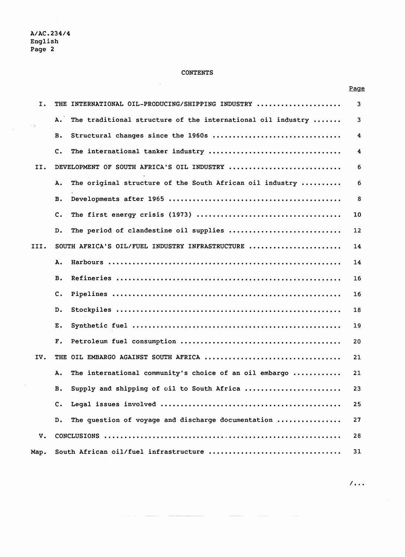$\bar{z}$ 

 $\sim$ 

### **CONTENTS**

 $\hat{\boldsymbol{\nu}}$ 

| Ι.   | THE INTERNATIONAL OIL-PRODUCING/SHIPPING INDUSTRY                 | 3  |
|------|-------------------------------------------------------------------|----|
|      | The traditional structure of the international oil industry<br>Α. | 3  |
|      | Structural changes since the 1960s<br>в.                          | 4  |
|      | c.<br>The international tanker industry                           | 4  |
| II.  | DEVELOPMENT OF SOUTH AFRICA'S OIL INDUSTRY                        | 6  |
|      | The original structure of the South African oil industry<br>Α.    | 6  |
|      | в.                                                                | 8  |
|      | c.                                                                | 10 |
|      | The period of clandestine oil supplies<br>$D$ .                   | 12 |
| III. | SOUTH AFRICA'S OIL/FUEL INDUSTRY INFRASTRUCTURE                   | 14 |
|      | Α.                                                                | 14 |
|      | в.                                                                | 16 |
|      | c.                                                                | 16 |
|      | $D$ .                                                             | 18 |
|      | Ε.                                                                | 19 |
|      | $\mathbf{F}$ .                                                    | 20 |
| IV.  | THE OIL EMBARGO AGAINST SOUTH AFRICA                              | 21 |
|      | The international community's choice of an oil embargo<br>Α.      | 21 |
|      | Supply and shipping of oil to South Africa<br>в.                  | 23 |
|      | $\mathbf{c}$ .                                                    | 25 |
|      | The question of voyage and discharge documentation<br>D.          | 27 |
| v.   |                                                                   | 28 |
| Map. | South African oil/fuel infrastructure                             | 31 |

 $\overline{1}$ ...

Page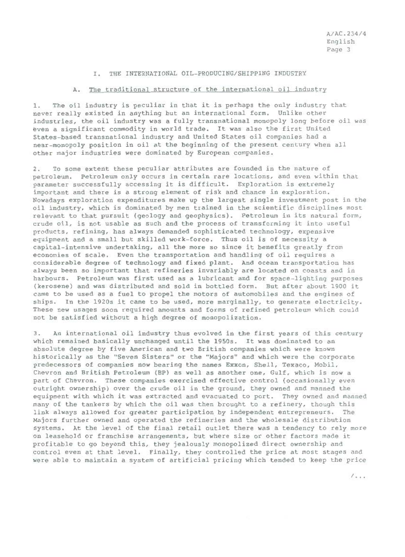#### I. THE INTERNATIONAL OIL-PRODUCING/SHIPPING INDUSTRY

#### A. The traditional structure of the international oil industry

The oil industry is peculiar in that it is perhaps the only industry that  $1.$ never really existed in anything but an international form. Unlike other industries, the oil industry was a fully transnational monopoly long before oil was even a significant commodity in world trade. It was also the first United States-based transnational industry and United States oil companies had a near-monopoly position in oil at the beginning of the present century when all other major industries were dominated by European companies.

To some extent these peculiar attributes are founded in the nature of  $2.$ petroleum. Petroleum only occurs in certain rare locations, and even within that parameter successfully accessing it is difficult. Exploration is extremely important and there is a strong element of risk and chance in exploration. Nowadays exploration expenditures make up the largest single investment post in the oil industry, which is dominated by men trained in the scientific disciplines most relevant to that pursuit (geology and geophysics). Petroleum in its natural form, crude oil, is not usable as such and the process of transforming it into useful products, refining, has always demanded sophisticated technology, expensive equipment and a small but skilled work-force. Thus oil is of necessity a capital-intensive undertaking, all the more so since it benefits greatly from economies of scale. Even the transportation and handling of oil requires a considerable degree of technology and fixed plant. And ocean transportation has always been so important that refineries invariably are located on coasts and in harbours. Petroleum was first used as a lubricant and for space-lighting purposes (kerosene) and was distributed and sold in bottled form. But after about 1900 it came to be used as a fuel to propel the motors of automobiles and the engines of ships. In the 1920s it came to be used, more marginally, to generate electricity. These new usages soon required amounts and forms of refined petroleum which could not be satisfied without a high degree of monopolization.

An international oil industry thus evolved in the first years of this century  $3.$ which remained basically unchanged until the 1950s. It was dominated to an absolute degree by five American and two British companies which were known historically as the "Seven Sisters" or the "Majors" and which were the corporate predecessors of companies now bearing the names Exxon, Shell, Texaco, Mobil. Chevron and British Petroleum (BP) as well as another one, Gulf, which is now a part of Chevron. These companies exercised effective control (occasionally even outright ownership) over the crude oil in the ground, they owned and manned the equipment with which it was extracted and evacuated to port. They owned and manned many of the tankers by which the oil was then brought to a refinery, though this link always allowed for greater participation by independent entrepreneurs. The Majors further owned and operated the refineries and the wholesale distribution systems. At the level of the final retail outlet there was a tendency to rely more on leasehold or franchise arrangements, but where size or other factors made it profitable to go beyond this, they jealously monopolized direct ownership and control even at that level. Finally, they controlled the price at most stages and were able to maintain a system of artificial pricing which tended to keep the price

 $1.1.1$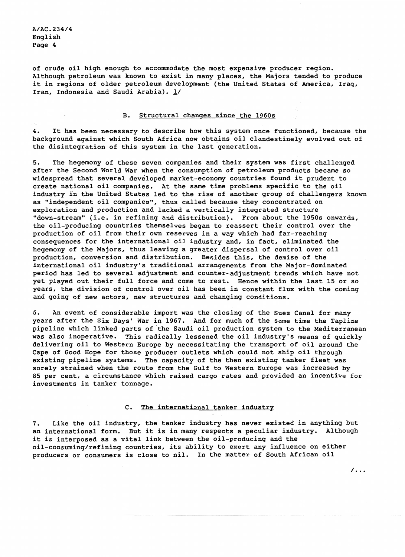of crude oil high enough to accommodate the most expensive producer region. Although petroleum was known to exist in many places, the Majors tended to produce it in regions of older petroleum development (the United States of America, Irag, Iran, Indonesia and Saudi Arabia). 1/

#### B. Structural changes since the 1960s

4. It has been necessary to describe how this system once functioned, because the background against which South Africa now obtains oil clandestinely evolved out of the disintegration of this system in the last generation.

The hegemony of these seven companies and their system was first challenged  $5.$ after the Second World War when the consumption of petroleum products became so widespread that several developed market-economy countries found it prudent to create national oil companies. At the same time problems specific to the oil industry in the United States led to the rise of another group of challengers known as "independent oil companies", thus called because they concentrated on exploration and production and lacked a vertically integrated structure "down-stream" (i.e. in refining and distribution). From about the 1950s onwards, the oil-producing countries themselves began to reassert their control over the production of oil from their own reserves in a way which had far-reaching consequences for the international oil industry and, in fact, eliminated the hegemony of the Majors, thus leaving a greater dispersal of control over oil production, conversion and distribution. Besides this, the demise of the international oil industry's traditional arrangements from the Major-dominated period has led to several adjustment and counter-adjustment trends which have not yet played out their full force and come to rest. Hence within the last 15 or so years, the division of control over oil has been in constant flux with the coming and going of new actors, new structures and changing conditions.

б. An event of considerable import was the closing of the Suez Canal for many years after the Six Days' War in 1967. And for much of the same time the Tapline pipeline which linked parts of the Saudi oil production system to the Mediterranean was also inoperative. This radically lessened the oil industry's means of quickly delivering oil to Western Europe by necessitating the transport of oil around the Cape of Good Hope for those producer outlets which could not ship oil through existing pipeline systems. The capacity of the then existing tanker fleet was sorely strained when the route from the Gulf to Western Europe was increased by 85 per cent, a circumstance which raised cargo rates and provided an incentive for investments in tanker tonnage.

#### C. The international tanker industry

 $7.$ Like the oil industry, the tanker industry has never existed in anything but an international form. But it is in many respects a peculiar industry. Although it is interposed as a vital link between the oil-producing and the oil-consuming/refining countries, its ability to exert any influence on either producers or consumers is close to nil. In the matter of South African oil

 $/ \ldots$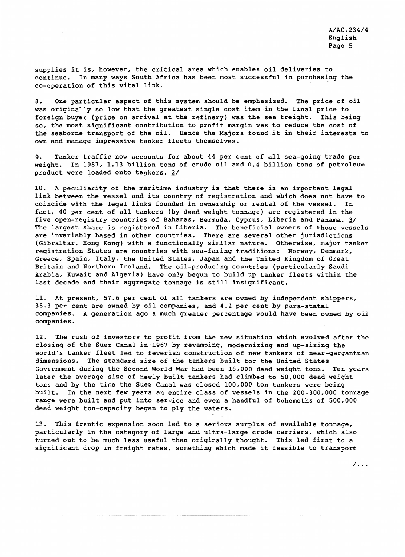supplies it is, however, the critical area which enables oil deliveries to continue. In many ways South Africa has been most successful in purchasing the co-operation of this vital link.

One particular aspect of this system should be emphasized. The price of oil 8. was originally so low that the greatest single cost item in the final price to foreign buyer (price on arrival at the refinery) was the sea freight. This being so, the most significant contribution to profit margin was to reduce the cost of the seaborne transport of the oil. Hence the Majors found it in their interests to own and manage impressive tanker fleets themselves.

Tanker traffic now accounts for about 44 per cent of all sea-going trade per  $Q_{\star}$ weight. In 1987, 1.13 billion tons of crude oil and 0.4 billion tons of petroleum product were loaded onto tankers. 2/

10. A peculiarity of the maritime industry is that there is an important legal link between the vessel and its country of reqistration and which does not have to coincide with the legal links founded in ownership or rental of the vessel. In fact, 40 per cent of all tankers (by dead weight tonnage) are registered in the five open-registry countries of Bahamas, Bermuda, Cyprus, Liberia and Panama. 3/ The largest share is registered in Liberia. The beneficial owners of those vessels are invariably based in other countries. There are several other jurisdictions (Gibraltar, Hong Kong) with a functionally similar nature. Otherwise, major tanker registration States are countries with sea-faring traditions: Norway, Denmark, Greece, Spain, Italy, the United States, Japan and the United Kingdom of Great Britain and Northern Ireland. The oil-producing countries (particularly Saudi Arabia, Kuwait and Algeria) have only begun to build up tanker fleets within the last decade and their aggregate tonnage is still insignificant.

11. At present, 57.6 per cent of all tankers are owned by independent shippers, 38.3 per cent are owned by oil companies, and 4.1 per cent by para-statal companies. A generation ago a much greater percentage would have been owned by oil companies.

12. The rush of investors to profit from the new situation which evolved after the closing of the Suez Canal in 1967 by revamping, modernizing and up-sizing the world's tanker fleet led to feverish construction of new tankers of near-gargantuan dimensions. The standard size of the tankers built for the United States Government during the Second World War had been 16,000 dead weight tons. Ten years later the average size of newly built tankers had climbed to 50,000 dead weight tons and by the time the Suez Canal was closed 100,000-ton tankers were being built. In the next few years an entire class of vessels in the 200-300,000 tonnage range were built and put into service and even a handful of behemoths of 500,000 dead weight ton-capacity began to ply the waters.

13. This frantic expansion soon led to a serious surplus of available tonnage, particularly in the category of large and ultra-large crude carriers, which also turned out to be much less useful than originally thought. This led first to a significant drop in freight rates, something which made it feasible to transport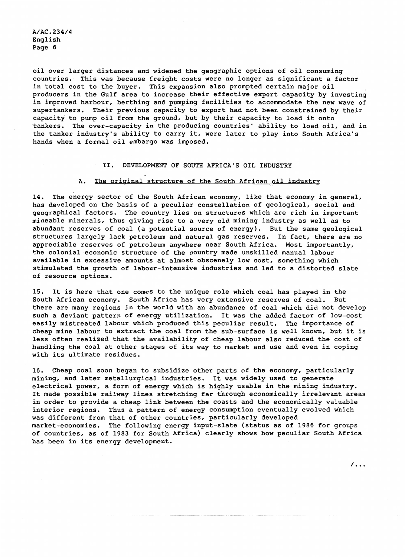oil over larger distances and widened the geographic options of oil consuming countries. This was because freight costs were no longer as significant a factor in total cost to the buyer. This expansion also prompted certain major oil producers in the Gulf area to increase their effective export capacity by investing in improved harbour, berthing and pumping facilities to accommodate the new wave of supertankers. Their previous capacity to export had not been constrained by their capacity to pump oil from the ground, but by their capacity to load it onto tankers. The over-capacity in the producing countries' ability to load oil, and in the tanker industry's ability to carry it, were later to play into South Africa's hands when a formal oil embargo was imposed.

#### II. DEVELOPMENT OF SOUTH AFRICA'S OIL INDUSTRY

#### A. The original structure of the South African oil industry

14. The energy sector of the South African economy, like that economy in general, has developed on the basis of a peculiar constellation of geological, social and geographical factors. The country lies on structures which are rich in important mineable minerals, thus giving rise to a very old mining industry as well as to abundant reserves of coal (a potential source of energy). But the same geological structures largely lack petroleum and natural gas reserves. In fact, there are no appreciable reserves of petroleum anywhere near South Africa. Most importantly, the colonial economic structure of the country made unskilled manual labour available in excessive amounts at almost obscenely low cost, something which stimulated the growth of labour-intensive industries and led to a distorted slate of resource options.

15. It is here that one comes to the unique role which coal has played in the South African economy. South Africa has very extensive reserves of coal. But there are many regions in the world with an abundance of coal which did not develop such a deviant pattern of energy utilization. It was the added factor of low-cost easily mistreated labour which produced this peculiar result. The importance of cheap mine labour to extract the coal from the sub-surface is well known, but it is less often realized that the availability of cheap labour also reduced the cost of handling the coal at other stages of its way to market and use and even in coping with its ultimate residues.

16. Cheap coal soon began to subsidize other parts of the economy, particularly mining, and later metallurgical industries. It was widely used to generate electrical power, a form of energy which is highly usable in the mining industry. It made possible railway lines stretching far through economically irrelevant areas in order to provide a cheap link between the coasts and the economically valuable interior regions. Thus a pattern of energy consumption eventually evolved which was different from that of other countries, particularly developed market-economies. The following energy input-slate (status as of 1986 for groups of countries, as of 1983 for South Africa) clearly shows how peculiar South Africa has been in its energy development.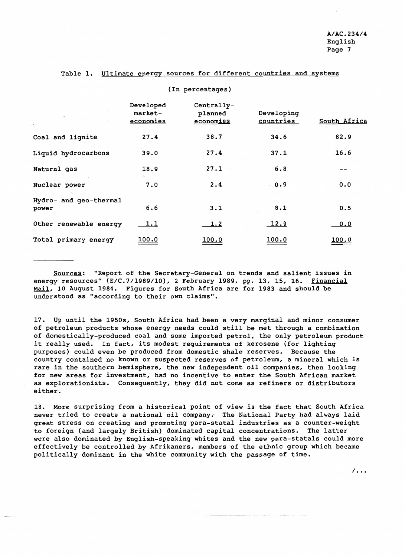#### Table 1. Ultimate energy sources for different countries and systems

| ٦.                              | Developed<br>market-<br>economies | Centrally-<br>planned<br>economies | Developing<br><u>countries</u> | South Africa |
|---------------------------------|-----------------------------------|------------------------------------|--------------------------------|--------------|
| Coal and lignite                | 27.4                              | 38.7                               | 34.6                           | 82.9         |
| Liquid hydrocarbons             | 39.0                              | 27.4                               | 37.1                           | 16.6         |
| Natural gas                     | 18.9                              | 27.1                               | 6.8                            |              |
| Nuclear power                   | 7.0                               | 2.4                                | $-0.9$                         | 0.0          |
| Hydro- and geo-thermal<br>power | 6.6                               | 3.1                                | 8.1                            | 0.5          |
| Other renewable energy          | 1.1                               | <u>1.2</u>                         | 12.9                           | 0.0          |
| Total primary energy            | <u>100.0</u>                      | <u> 100.0</u>                      | <u> 100.0</u>                  | <u>100.0</u> |

#### (In percentages)

Sources: "Report of the Secretary-General on trends and salient issues in energy resources" (E/C.7/1989/10), 2 February 1989, pp. 13, 15, 16. Financial Mail, 10 August 1984. Figures for South Africa are for 1983 and should be understood as "according to their own claims".

17. Up until the 1950s, South Africa had been a very marginal and minor consumer of petroleum products whose energy needs could still be met through a combination of domestically-produced coal and some imported petrol, the only petroleum product it really used. In fact, its modest requirements of kerosene (for lighting purposes) could even be produced from domestic shale reserves. Because the country contained no known or suspected reserves of petroleum, a mineral which is rare in the southern hemisphere, the new independent oil companies, then looking for new areas for investment, had no incentive to enter the South African market as explorationists. Consequently, they did not come as refiners or distributors either.

18. More surprising from a historical point of view is the fact that South Africa never tried to create a national oil company. The National Party had always laid great stress on creating and promoting para-statal industries as a counter-weight to foreign (and largely British) dominated capital concentrations. The latter were also dominated by English-speaking whites and the new para-statals could more effectively be controlled by Afrikaners, members of the ethnic group which became politically dominant in the white community with the passage of time.

 $\overline{\phantom{a}}$ ...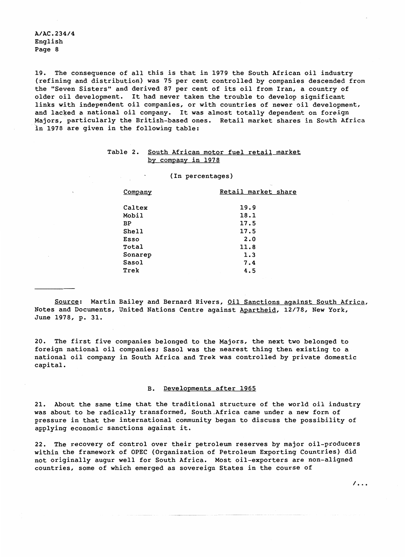19. The consequence of all this is that in 1979 the South African oil industry (refining and distribution) was 75 per cent controlled by companies descended from the "Seven Sisters" and derived 87 per cent of its oil from Iran, a country of older oil development. It had never taken the trouble to develop significant links with independent oil companies, or with countries of newer oil development, and lacked a national oil company. It was almost totally dependent on foreign Majors, particularly the British-based ones. Retail market shares in South Africa in 1978 are given in the following table:

#### Table 2. South African motor fuel retail market by company in 1978

(In percentages)

| Company | Retail market share |
|---------|---------------------|
|         |                     |
| Caltex  | 19.9                |
| Mobil   | 18.1                |
| BP      | 17.5                |
| Shell   | 17.5                |
| Esso    | 2.0                 |
| Total   | 11.8                |
| Sonarep | 1.3                 |
| Sasol   | 7.4                 |
| Trek    | 4.5                 |
|         |                     |

Source: Martin Bailey and Bernard Rivers, Oil Sanctions against South Africa, Notes and Documents, United Nations Centre against Apartheid, 12/78, New York, June 1978, p. 31.

20. The first five companies belonged to the Majors, the next two belonged to foreign national oil companies; Sasol was the nearest thing then existing to a national oil company in South Africa and Trek was controlled by private domestic capital.

#### B. Developments after 1965

21. About the same time that the traditional structure of the world oil industry was about to be radically transformed, South Africa came under a new form of pressure in that the international community began to discuss the possibility of applying economic sanctions against it.

22. The recovery of control over their petroleum reserves by major oil-producers within the framework of OPEC (Organization of Petroleum Exporting Countries) did not originally augur well for South Africa. Most oil-exporters are non-aligned countries, some of which emerged as sovereign States in the course of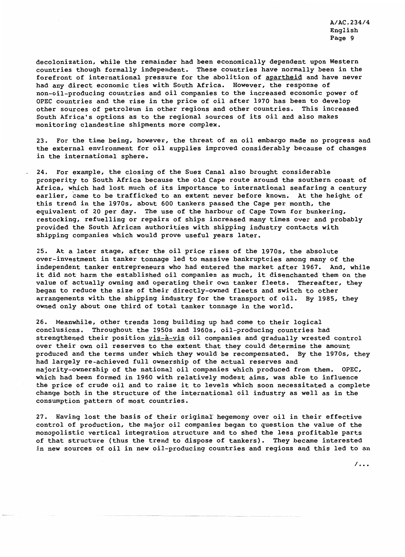decolonization, while the remainder had been economically dependent upon Western countries though formally independent. These countries have normally been in the forefront of international pressure for the abolition of apartheid and have never had any direct economic ties with South Africa. However, the response of non-oil-producing countries and oil companies to the increased economic power of OPEC countries and the rise in the price of oil after 1970 has been to develop other sources of petroleum in other regions and other countries. This increased South Africa's options as to the regional sources of its oil and also makes monitoring clandestine shipments more complex.

23. For the time being, however, the threat of an oil embargo made no progress and the external environment for oil supplies improved considerably because of changes in the international sphere.

24. For example, the closing of the Suez Canal also brought considerable prosperity to South Africa because the old Cape route around the southern coast of Africa, which had lost much of its importance to international seafaring a century earlier, came to be trafficked to an extent never before known. At the height of this trend in the 1970s, about 600 tankers passed the Cape per month, the equivalent of 20 per day. The use of the harbour of Cape Town for bunkering, restocking, refuelling or repairs of ships increased many times over and probably provided the South African authorities with shipping industry contacts with shipping companies which would prove useful years later.

25. At a later stage, after the oil price rises of the 1970s, the absolute over-investment in tanker tonnage led to massive bankruptcies among many of the independent tanker entrepreneurs who had entered the market after 1967. And, while it did not harm the established oil companies as much, it disenchanted them on the value of actually owning and operating their own tanker fleets. Thereafter, they began to reduce the size of their directly-owned fleets and switch to other arrangements with the shipping industry for the transport of oil. By 1985, they owned only about one third of total tanker tonnage in the world.

26. Meanwhile, other trends long building up had come to their logical conclusions. Throughout the 1950s and 1960s, oil-producing countries had strengthened their position vis-à-vis oil companies and gradually wrested control over their own oil reserves to the extent that they could determine the amount produced and the terms under which they would be recompensated. By the 1970s, they had largely re-achieved full ownership of the actual reserves and majority-ownership of the national oil companies which produced from them. OPEC, which had been formed in 1960 with relatively modest aims, was able to influence the price of crude oil and to raise it to levels which soon necessitated a complete change both in the structure of the international oil industry as well as in the consumption pattern of most countries.

27. Having lost the basis of their original hegemony over oil in their effective control of production, the major oil companies began to question the value of the monopolistic vertical integration structure and to shed the less profitable parts of that structure (thus the trend to dispose of tankers). They became interested in new sources of oil in new oil-producing countries and regions and this led to an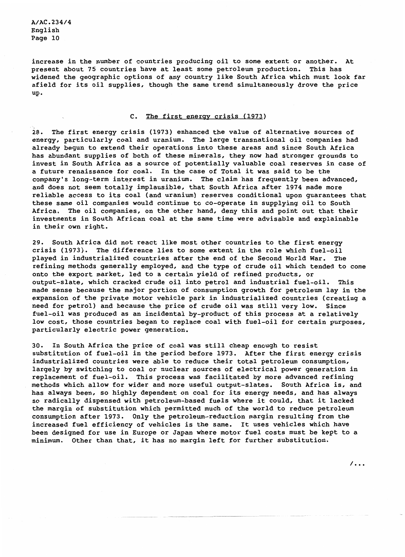increase in the number of countries producing oil to some extent or another. At present about 75 countries have at least some petroleum production. This has widened the geographic options of any country like South Africa which must look far afield for its oil supplies, though the same trend simultaneously drove the price up.

#### C. The first energy crisis (1973)

28. The first energy crisis (1973) enhanced the value of alternative sources of energy, particularly coal and uranium. The large transnational oil companies had already begun to extend their operations into these areas and since South Africa has abundant supplies of both of these minerals, they now had stronger grounds to invest in South Africa as a source of potentially valuable coal reserves in case of a future renaissance for coal. In the case of Total it was said to be the company's long-term interest in uranium. The claim has frequently been advanced, and does not seem totally implausible, that South Africa after 1974 made more reliable access to its coal (and uranium) reserves conditional upon quarantees that these same oil companies would continue to co-operate in supplying oil to South Africa. The oil companies, on the other hand, deny this and point out that their investments in South African coal at the same time were advisable and explainable in their own right.

29. South Africa did not react like most other countries to the first energy crisis (1973). The difference lies to some extent in the role which fuel-oil played in industrialized countries after the end of the Second World War. The refining methods generally employed, and the type of crude oil which tended to come onto the export market, led to a certain yield of refined products, or output-slate, which cracked crude oil into petrol and industrial fuel-oil. This made sense because the major portion of consumption growth for petroleum lay in the expansion of the private motor vehicle park in industrialized countries (creating a need for petrol) and because the price of crude oil was still very low. Since fuel-oil was produced as an incidental by-product of this process at a relatively low cost, those countries began to replace coal with fuel-oil for certain purposes, particularly electric power generation.

30. In South Africa the price of coal was still cheap enough to resist substitution of fuel-oil in the period before 1973. After the first energy crisis industrialized countries were able to reduce their total petroleum consumption, largely by switching to coal or nuclear sources of electrical power generation in replacement of fuel-oil. This process was facilitated by more advanced refining methods which allow for wider and more useful output-slates. South Africa is, and has always been, so highly dependent on coal for its energy needs, and has always so radically dispensed with petroleum-based fuels where it could, that it lacked the margin of substitution which permitted much of the world to reduce petroleum consumption after 1973. Only the petroleum-reduction margin resulting from the increased fuel efficiency of vehicles is the same. It uses vehicles which have been designed for use in Europe or Japan where motor fuel costs must be kept to a minimum. Other than that, it has no margin left for further substitution.

7. . .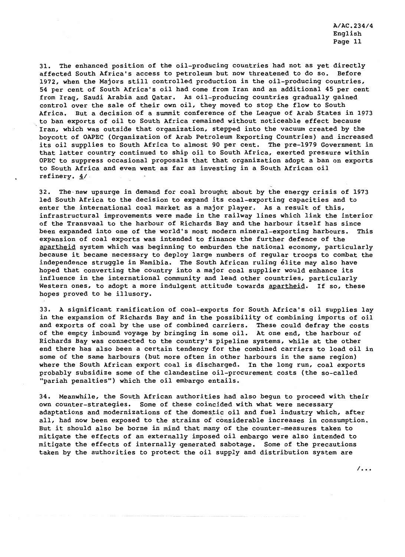31. The enhanced position of the oil-producing countries had not as yet directly affected South Africa's access to petroleum but now threatened to do so. Before 1972, when the Majors still controlled production in the oil-producing countries, 54 per cent of South Africa's oil had come from Iran and an additional 45 per cent from Iraq, Saudi Arabia and Qatar. As oil-producing countries gradually gained control over the sale of their own oil, they moved to stop the flow to South Africa. But a decision of a summit conference of the League of Arab States in 1973 to ban exports of oil to South Africa remained without noticeable effect because Iran, which was outside that organization, stepped into the vacuum created by the boycott of OAPEC (Organization of Arab Petroleum Exporting Countries) and increased its oil supplies to South Africa to almost 90 per cent. The pre-1979 Government in that latter country continued to ship oil to South Africa, exerted pressure within OPEC to suppress occasional proposals that that organization adopt a ban on exports to South Africa and even went as far as investing in a South African oil refinery.  $4/$ 

32. The new upsurge in demand for coal brought about by the energy crisis of 1973 led South Africa to the decision to expand its coal-exporting capacities and to enter the international coal market as a major player. As a result of this, infrastructural improvements were made in the railway lines which link the interior of the Transvaal to the harbour of Richards Bay and the harbour itself has since been expanded into one of the world's most modern mineral-exporting harbours. This expansion of coal exports was intended to finance the further defence of the apartheid system which was beginning to emburden the national economy, particularly because it became necessary to deploy large numbers of regular troops to combat the independence struggle in Namibia. The South African ruling élite may also have hoped that converting the country into a major coal supplier would enhance its influence in the international community and lead other countries, particularly Western ones, to adopt a more indulgent attitude towards apartheid. If so, these hopes proved to be illusory.

33. A significant ramification of coal-exports for South Africa's oil supplies lay in the expansion of Richards Bay and in the possibility of combining imports of oil and exports of coal by the use of combined carriers. These could defray the costs of the empty inbound voyage by bringing in some oil. At one end, the harbour of Richards Bay was connected to the country's pipeline systems, while at the other end there has also been a certain tendency for the combined carriers to load oil in some of the same harbours (but more often in other harbours in the same region) where the South African export coal is discharged. In the long run, coal exports probably subsidize some of the clandestine oil-procurement costs (the so-called "pariah penalties") which the oil embargo entails.

34. Meanwhile, the South African authorities had also begun to proceed with their own counter-strategies. Some of these coincided with what were necessary adaptations and modernizations of the domestic oil and fuel industry which, after all, had now been exposed to the strains of considerable increases in consumption. But it should also be borne in mind that many of the counter-measures taken to mitigate the effects of an externally imposed oil embargo were also intended to mitigate the effects of internally generated sabotage. Some of the precautions taken by the authorities to protect the oil supply and distribution system are

 $\sqrt{100}$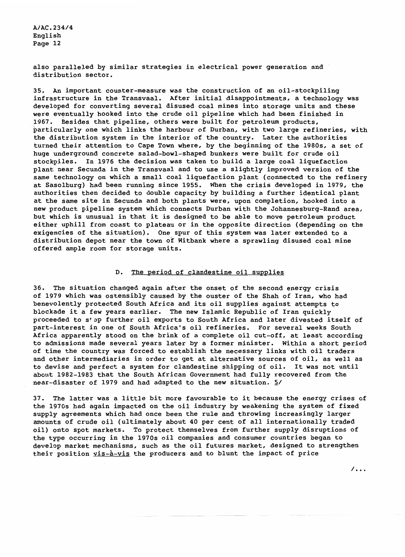also paralleled by similar strategies in electrical power generation and distribution sector.

35. An important counter-measure was the construction of an oil-stockpiling infrastructure in the Transvaal. After initial disappointments, a technology was developed for converting several disused coal mines into storage units and these were eventually hooked into the crude oil pipeline which had been finished in 1967. Besides that pipeline, others were built for petroleum products, particularly one which links the harbour of Durban, with two large refineries, with the distribution system in the interior of the country. Later the authorities turned their attention to Cape Town where, by the beginning of the 1980s, a set of huge underground concrete salad-bowl-shaped bunkers were built for crude oil stockpiles. In 1976 the decision was taken to build a large coal liquefaction plant near Secunda in the Transvaal and to use a slightly improved version of the same technology on which a small coal liquefaction plant (connected to the refinery at Sasolburg) had been running since 1955. When the crisis developed in 1979, the authorities then decided to double capacity by building a further identical plant at the same site in Secunda and both plants were, upon completion, hooked into a new product pipeline system which connects Durban with the Johannesburg-Rand area, but which is unusual in that it is designed to be able to move petroleum product either uphill from coast to plateau or in the opposite direction (depending on the exigencies of the situation). One spur of this system was later extended to a distribution depot near the town of Witbank where a sprawling disused coal mine offered ample room for storage units.

#### The period of clandestine oil supplies  $D$ .

36. The situation changed again after the onset of the second energy crisis of 1979 which was ostensibly caused by the ouster of the Shah of Iran, who had benevolently protected South Africa and its oil supplies against attempts to blockade it a few years earlier. The new Islamic Republic of Iran quickly proceeded to stop further oil exports to South Africa and later divested itself of part-interest in one of South Africa's oil refineries. For several weeks South Africa apparently stood on the brink of a complete oil cut-off, at least according to admissions made several years later by a former minister. Within a short period of time the country was forced to establish the necessary links with oil traders and other intermediaries in order to get at alternative sources of oil, as well as to devise and perfect a system for clandestine shipping of oil. It was not until about 1982-1983 that the South African Government had fully recovered from the near-disaster of 1979 and had adapted to the new situation. 5/

37. The latter was a little bit more favourable to it because the energy crises of the 1970s had again impacted on the oil industry by weakening the system of fixed supply agreements which had once been the rule and throwing increasingly larger amounts of crude oil (ultimately about 40 per cent of all internationally traded oil) onto spot markets. To protect themselves from further supply disruptions of the type occurring in the 1970s oil companies and consumer countries began to develop market mechanisms, such as the oil futures market, designed to strengthen their position vis-à-vis the producers and to blunt the impact of price

 $\sqrt{1}$ .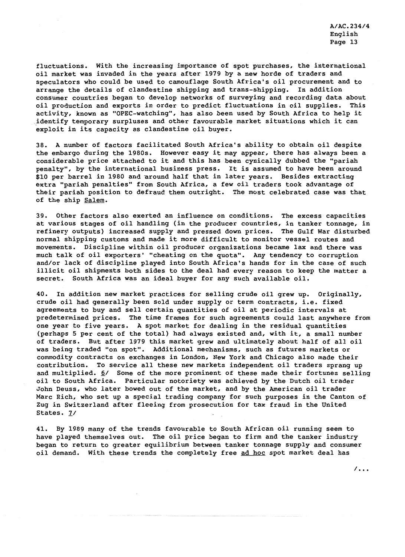fluctuations. With the increasing importance of spot purchases, the international oil market was invaded in the years after 1979 by a new horde of traders and speculators who could be used to camouflage South Africa's oil procurement and to arrange the details of clandestine shipping and trans-shipping. In addition consumer countries began to develop networks of surveying and recording data about oil production and exports in order to predict fluctuations in oil supplies. This activity, known as "OPEC-watching", has also been used by South Africa to help it identify temporary surpluses and other favourable market situations which it can exploit in its capacity as clandestine oil buyer.

38. A number of factors facilitated South Africa's ability to obtain oil despite the embargo during the 1980s. However easy it may appear, there has always been a considerable price attached to it and this has been cynically dubbed the "pariah penalty", by the international business press. It is assumed to have been around \$10 per barrel in 1980 and around half that in later years. Besides extracting extra "pariah penalties" from South Africa, a few oil traders took advantage of their pariah position to defraud them outright. The most celebrated case was that of the ship Salem.

39. Other factors also exerted an influence on conditions. The excess capacities at various stages of oil handling (in the producer countries, in tanker tonnage, in refinery outputs) increased supply and pressed down prices. The Gulf War disturbed normal shipping customs and made it more difficult to monitor vessel routes and movements. Discipline within oil producer organizations became lax and there was much talk of oil exporters' "cheating on the quota". Any tendency to corruption and/or lack of discipline played into South Africa's hands for in the case of such illicit oil shipments both sides to the deal had every reason to keep the matter a secret. South Africa was an ideal buyer for any such available oil.

In addition new market practices for selling crude oil grew up. Originally,  $40.$ crude oil had generally been sold under supply or term contracts, i.e. fixed agreements to buy and sell certain quantities of oil at periodic intervals at predetermined prices. The time frames for such agreements could last anywhere from one year to five years. A spot market for dealing in the residual quantities (perhaps 5 per cent of the total) had always existed and, with it, a small number of traders. But after 1979 this market grew and ultimately about half of all oil was being traded "on spot". Additional mechanisms, such as futures markets or commodity contracts on exchanges in London, New York and Chicago also made their contribution. To service all these new markets independent oil traders sprang up and multiplied. 6/ Some of the more prominent of these made their fortunes selling oil to South Africa. Particular notoriety was achieved by the Dutch oil trader John Deuss, who later bowed out of the market, and by the American oil trader Marc Rich, who set up a special trading company for such purposes in the Canton of Zug in Switzerland after fleeing from prosecution for tax fraud in the United States. 7/

41. By 1989 many of the trends favourable to South African oil running seem to have played themselves out. The oil price began to firm and the tanker industry began to return to greater equilibrium between tanker tonnage supply and consumer oil demand. With these trends the completely free ad hoc spot market deal has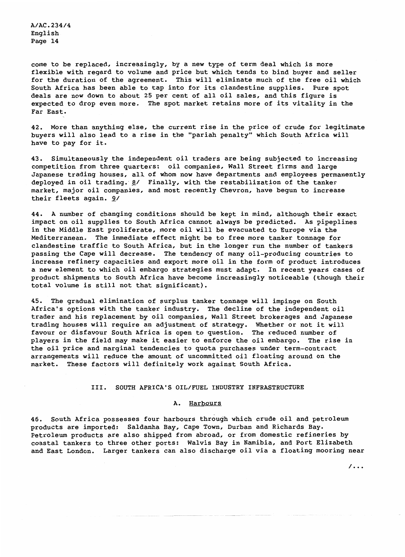come to be replaced, increasingly, by a new type of term deal which is more flexible with regard to volume and price but which tends to bind buyer and seller for the duration of the agreement. This will eliminate much of the free oil which South Africa has been able to tap into for its clandestine supplies. Pure spot deals are now down to about 25 per cent of all oil sales, and this figure is expected to drop even more. The spot market retains more of its vitality in the Far East.

42. More than anything else, the current rise in the price of crude for legitimate buyers will also lead to a rise in the "pariah penalty" which South Africa will have to pay for it.

43. Simultaneously the independent oil traders are being subjected to increasing competition from three quarters: oil companies, Wall Street firms and large Japanese trading houses, all of whom now have departments and employees permanently deployed in oil trading. 8/ Finally, with the restabilization of the tanker market, major oil companies, and most recently Chevron, have begun to increase their fleets again. 9/

44. A number of changing conditions should be kept in mind, although their exact impact on oil supplies to South Africa cannot always be predicted. As pipeplines in the Middle East proliferate, more oil will be evacuated to Europe via the Mediterranean. The immediate effect might be to free more tanker tonnage for clandestine traffic to South Africa, but in the longer run the number of tankers passing the Cape will decrease. The tendency of many oil-producing countries to increase refinery capacities and export more oil in the form of product introduces a new element to which oil embargo strategies must adapt. In recent years cases of product shipments to South Africa have become increasingly noticeable (though their total volume is still not that significant).

45. The gradual elimination of surplus tanker tonnage will impinge on South Africa's options with the tanker industry. The decline of the independent oil trader and his replacement by oil companies, Wall Street brokerages and Japanese trading houses will require an adjustment of strategy. Whether or not it will favour or disfavour South Africa is open to question. The reduced number of players in the field may make it easier to enforce the oil embargo. The rise in the oil price and marginal tendencies to quota purchases under term-contract arrangements will reduce the amount of uncommitted oil floating around on the market. These factors will definitely work against South Africa.

#### III. SOUTH AFRICA'S OIL/FUEL INDUSTRY INFRASTRUCTURE

#### A. Harbours

46. South Africa possesses four harbours through which crude oil and petroleum products are imported: Saldanha Bay, Cape Town, Durban and Richards Bay. Petroleum products are also shipped from abroad, or from domestic refineries by coastal tankers to three other ports: Walvis Bay in Namibia, and Port Elizabeth and East London. Larger tankers can also discharge oil via a floating mooring near

 $/ \, . \, .$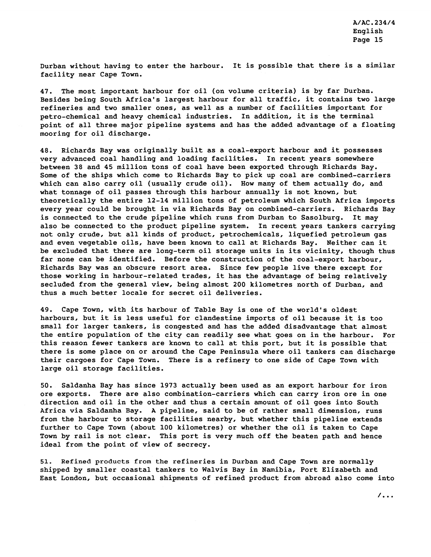Durban without having to enter the harbour. It is possible that there is a similar facility near Cape Town.

47. The most important harbour for oil (on volume criteria) is by far Durban. Besides being South Africa's largest harbour for all traffic, it contains two large refineries and two smaller ones, as well as a number of facilities important for petro-chemical and heavy chemical industries. In addition, it is the terminal point of all three major pipeline systems and has the added advantage of a floating mooring for oil discharge.

48. Richards Bay was originally built as a coal-export harbour and it possesses very advanced coal handling and loading facilities. In recent years somewhere between 38 and 45 million tons of coal have been exported through Richards Bay. Some of the ships which come to Richards Bay to pick up coal are combined-carriers which can also carry oil (usually crude oil). How many of them actually do, and what tonnage of oil passes through this harbour annually is not known, but theoretically the entire 12-14 million tons of petroleum which South Africa imports every year could be brought in via Richards Bay on combined-carriers. Richards Bay is connected to the crude pipeline which runs from Durban to Sasolburg. It may also be connected to the product pipeline system. In recent years tankers carrying not only crude, but all kinds of product, petrochemicals, liquefied petroleum gas and even vegetable oils, have been known to call at Richards Bay. Neither can it be excluded that there are long-term oil storage units in its vicinity, though thus far none can be identified. Before the construction of the coal-export harbour, Richards Bay was an obscure resort area. Since few people live there except for those working in harbour-related trades, it has the advantage of being relatively secluded from the general view, being almost 200 kilometres north of Durban, and thus a much better locale for secret oil deliveries.

49. Cape Town, with its harbour of Table Bay is one of the world's oldest harbours, but it is less useful for clandestine imports of oil because it is too small for larger tankers, is congested and has the added disadvantage that almost the entire population of the city can readily see what goes on in the harbour. For this reason fewer tankers are known to call at this port, but it is possible that there is some place on or around the Cape Peninsula where oil tankers can discharge their cargoes for Cape Town. There is a refinery to one side of Cape Town with large oil storage facilities.

50. Saldanha Bay has since 1973 actually been used as an export harbour for iron ore exports. There are also combination-carriers which can carry iron ore in one direction and oil in the other and thus a certain amount of oil goes into South Africa via Saldanha Bay. A pipeline, said to be of rather small dimension, runs from the harbour to storage facilities nearby, but whether this pipeline extends further to Cape Town (about 100 kilometres) or whether the oil is taken to Cape Town by rail is not clear. This port is very much off the beaten path and hence ideal from the point of view of secrecy.

51. Refined products from the refineries in Durban and Cape Town are normally shipped by smaller coastal tankers to Walvis Bay in Namibia, Port Elizabeth and East London, but occasional shipments of refined product from abroad also come into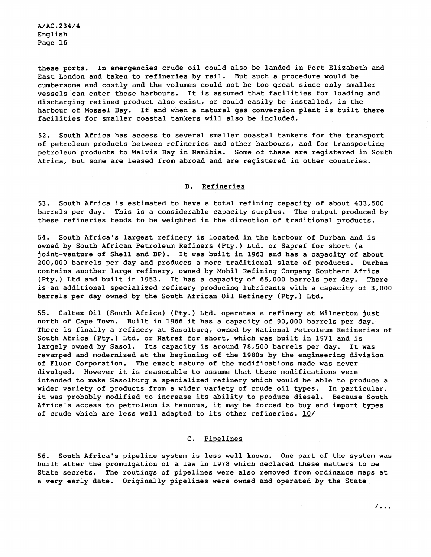these ports. In emergencies crude oil could also be landed in Port Elizabeth and East Landon and taken to refineries by rail. But such a procedure would be cumbersome and costly and the volumes could not be too great since only smaller vessels can enter these harbours. It is assumed that facilities for loading and discharging refined product also exist, or could easily be installed, in the harbour of Mossel Bay. If and when a natural gas conversion plant is built there facilities for smaller coastal tankers will also be included.

52. South Africa has access to several smaller coastal tankers for the transport of petroleum products between refineries and other harbours, and for transporting petroleum products to Walvis Bay in Namibia. Some of these are registered in South Africa, but some are leased from abroad and are registered in other countries.

#### B. Refineries

53. South Africa is estimated to have a total refining capacity of about 433,500 barrels per day. This is a considerable capacity surplus. The output produced by these refineries tends to be weighted in the direction of traditional products.

54. South Africa's largest refinery is located in the harbour of Durban and is owned by South African Petroleum Refiners (Pty.) Ltd. or Sapref for short (a joint-venture of Shell and BP). It was built in 1963 and has a capacity of about 200,000 barrels per day and produces a more traditional slate of products. Durban contains another large refinery, owned by Mobil Refining Company Southern Africa (Pty.) Ltd and built in 1953. It has a capacity of 65,000 barrels per day. There is an additional specialized refinery producing lubricants with a capacity of 3,000 barrels per day owned by the South African Oil Refinery (Pty.) Ltd.

55. Caltex Oil (South Africa) (Pty.) Ltd. operates a refinery at Milnerton just north of Cape Town. Built in 1966 it has a capacity of 90,000 barrels per day. There is finally a refinery at Sasolburg, owned by National Petroleum Refineries of South Africa (Pty.) Ltd. or Natref for short, which was built in 1971 and is largely owned by Sasol. Its capacity is around 78,500 barrels per day. It was revamped and modernized at the beginning of the 1980s by the engineering division of Fluor Corporation. The exact nature of the modifications made was never divulged. However it is reasonable to assume that these modifications were intended to make Sasolburg a specialized refinery which would be able to produce a wider variety of products from a wider variety of crude oil types. In particular, it was probably modified to increase its ability to produce diesel. Because South Africa's access to petroleum is tenuous, it may be forced to buy and import types of crude which are less well adapted to its other refineries. **U/** 

#### C. Pipelines

56. South Africa's pipeline system is less well known. One part of the system was built after the promulgation of a law in 1978 which declared these matters to be State secrets. The routings of pipelines were also removed from ordinance maps at a very early date. Originally pipelines were owned and operated by the State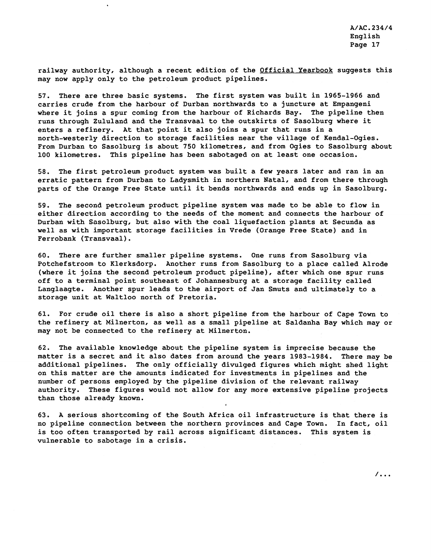railway authority, although a recent edition of the **Official Yearbook** suggests this may now apply only to the petroleum product pipelines.

57. There are three basic systems. The first system was built in 1965-1966 and carries crude from the harbour of Durban northwards to a juncture at Empangeni where it joins a spur coming from the harbour of Richards Bay. The pipeline then runs through Zululand and the Transvaal to the outskirts of Sasolburg where it enters a refinery. At that point it also joins a spur that runs in a north-westerly direction to storage facilities near the village of Kendal-Ogies. From Durban to Sasolburg is about 750 kilometres, and from Ogies to Sasolburg about 100 kilometres. This pipeline has been sabotaged on at least one occasion.

**58.** The first petroleum product system was built a few years later and ran in an erratic pattern from Durban to Ladysmith in northern Natal, and from there through parts of the Orange Free State until it bends northwards and ends up in Sasolburg.

59. The second petroleum product pipeline system was made to be able to flow in either direction according to the needs of the moment and connects the harbour of Durban with Sasolburg, but also with the coal liquefaction plants at Secunda as well as with important storage facilities in Vrede (Orange Free State) and in Ferrobank (Transvaal).

60. There are further smaller pipeline systems. One runs from Sasolburg via Potchefstroom to Klerksdorp. Another runs from Sasolburg to a place called Alrode (where it joins the second petroleum product pipeline), after which one spur runs off to a terminal point southeast of Johannesburg at a storage facility called Langlaagte. Another spur leads to the airport of Jan Smuts and ultimately to a storage unit at Waltloo north of Pretoria.

61. For crude oil there is also a short pipeline from the harbour of Cape Town to the refinery at Milnerton, as well as a small pipeline at Saldanha Bay which may or may not be connected to the refinery at Milnerton.

62. The available knowledge about the pipeline system is imprecise because the matter is a secret and it also dates from around the years 1983-1984. There may be additional pipelines. The only officially divulged figures which might shed light on this matter are the amounts indicated for investments in pipelines and the number of persons employed by the pipeline division of the relevant railway authority. These figures would not allow for any more extensive pipeline projects than those already known.

63. A serious shortcoming of the South Africa oil infrastructure is that there is no pipeline connection between the northern provinces and Cape Town. In fact, oil is too often transported by rail across significant distances. This system is vulnerable to sabotage in a crisis.

 $\overline{\phantom{a}}$ .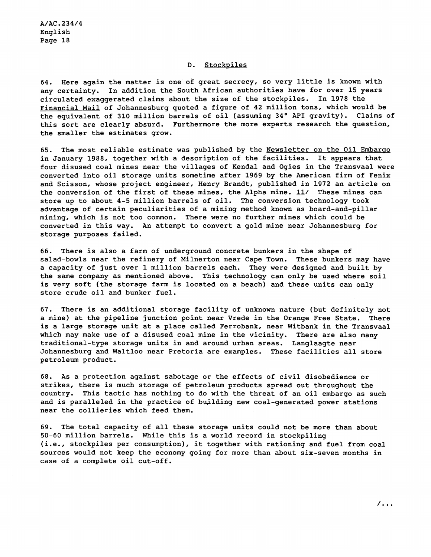#### D. Stockpiles

64. Here again the matter is one of great secrecy, so very little is known with any certainty. In addition the South African authorities have for over 15 years circulated exaggerated claims about the size of the stockpiles. In 1978 the Financial Mail of Johannesburg quoted a figure of 42 million tons, which would be the equivalent of 310 million barrels of oil (assuming 34° API gravity). Claims of this sort are clearly absurd. Furthermore the more experts research the question, the smaller the estimates grow.

65. The most reliable estimate was published by the Newsletter on the Oil Embargo in January 1988, together with a description of the facilities. It appears that four disused coal mines near the villages of Kendal and Ogies in the Transvaal were converted into oil storage units sometime after 1969 by the American firm of Fenix and Scisson, whose project engineer, Henry Brandt, published in 1972 an article on the conversion of the first of these mines, the Alpha mine. **11/** These mines can store up to about 4-5 million barrels of oil. The conversion technology took advantage of certain peculiarities of a mining method known as board-and-pillar mining, which is not too common. There were no further mines which could be converted in this way. An attempt to convert a gold mine near Johannesburg for storage purposes failed.

66. There is also a farm of underground concrete bunkers in the shape of salad-bowls near the refinery of Milnerton near Cape Town. These bunkers may have a capacity of just over 1 million barrels each. They were designed and built by the same company as mentioned above. This technology can only be used where soil is very soft (the storage farm is located on a beach) and these units can only store crude oil and bunker fuel.

67. There is an additional storage facility of unknown nature (but definitely not a mine) at the pipeline junction point near Vrede in the Orange Free State. There is a large storage unit at a place called Ferrobank, near Witbank in the Transvaal which may make use of a disused coal mine in the vicinity. There are also many traditional-type storage units in and around urban areas. Langlaagte near Johannesburg and Waltloo near Pretoria are examples. These facilities all store petroleum product.

68. As a protection against sabotage or the effects of civil disobedience or strikes, there is much storage of petroleum products spread out throughout the country. This tactic has nothing to do with the threat of an oil embargo as such and is paralleled in the practice of bujlding new coal-generated power stations near the collieries which feed them.

69. The total capacity of all these storage units could not be more than about 50-60 million barrels. While this is a world record in stockpiling (i.e., stockpiles per consumption), it together with rationing and fuel from coal sources would not keep the economy going for more than about six-seven months in case of a complete oil cut-off.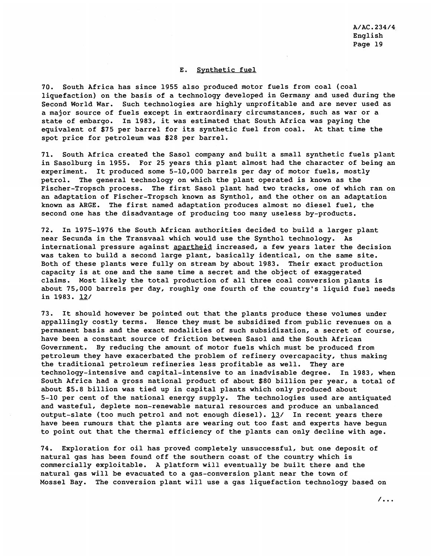#### E. Synthetic fuel

70. South Africa has since 1955 also produced motor fuels from coal (coal liquefaction) on the basis of a technology developed in Germany and used during the Second World War. Such technologies are highly unprofitable and are never used as a major source of fuels except in extraordinary circumstances, such as war or a state of embargo. In 1983, it was estimated that South Africa was paying the equivalent of \$75 per barrel for its synthetic fuel from coal. At that time the spot price for petroleum was \$28 per barrel.

71. South Africa created the Sasol company and built a small synthetic fuels plant in Sasolburg in 1955. For 25 years this plant almost had the character of being an experiment. It produced some 5-10,000 barrels per day of motor fuels, mostly petrol. The general technology on which the plant operated is known as the Fischer-Tropsch process. The first Sasol plant had two tracks, one of which ran on an adaptation of Fischer-Tropsch known as Synthol, and the other on an adaptation known as ARGE. The first named adaptation produces almost no diesel fuel, the second one has the disadvantage of producing too many useless by-products.

72. In 1975-1976 the South African authorities decided to build a larger plant near Secunda in the Transvaal which would use the Synthol technology. As international pressure against apartheid increased, a few years later the decision was taken to build a second large plant, basically identical, on the same site. Both of these plants were fully on stream by about 1983. Their exact production capacity is at one and the same time a secret and the object of exaggerated claims. Most likely the total production of all three coal conversion plants is about 75,000 barrels per day, roughly one fourth of the country's liquid fuel needs in 1983. *jJ/* 

73. It should however be pointed out that the plants produce these volumes under appallingly costly terms. Hence they must be subsidized from public revenues on a permanent basis and the exact modalities of such subsidization, a secret of course, have been a constant source of friction between Sasol and the South African Government. By reducing the amount of motor fuels which must be produced from petroleum they have exacerbated the problem of refinery overcapacity, thus making the traditional petroleum refineries less profitable as well. They are technology-intensive and capital-intensive to an inadvisable degree. In 1983, when South Africa had a gross national product of about \$80 billion per year, a total of about \$5.8 billion was tied up in capital plants which only produced about 5-10 per cent of the national energy supply. The technologies used are antiquated and wasteful, deplete non-renewable natural resources and produce an unbalanced output-slate (too much petrol and not enough diesel). **JJ/** In recent years there have been rumours that the plants are wearing out too fast and experts have begun to point out that the thermal efficiency of the plants can only decline with age.

74. Exploration for oil has proved completely unsuccessful, but one deposit of natural gas has been found off the southern coast of the country which is commercially exploitable. A platform will eventually be built there and the natural gas will be evacuated to a gas-conversion plant near the town of Mossel Bay. The conversion plant will use a gas liquefaction technology based on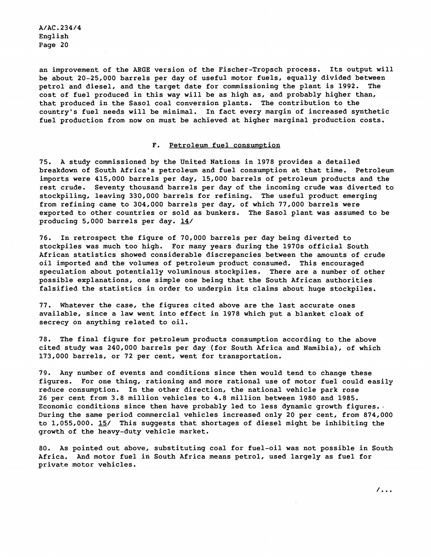an improvement of the ARGE version of the Fischer-Tropsch process. Its output will be about 20-25,000 barrels per day of useful motor fuels, equally divided between petrol and diesel, and the target date for commissioning the plant is 1992. The cost of fuel produced in this way will be as high as, and probably higher than, that produced in the Sasol coal conversion plants. The contribution to the country's fuel needs will be minimal. In fact every margin of increased synthetic fuel production from now on must be achieved at higher marginal production costs.

#### F. Petroleum fuel consumption

75. A study commissioned by the United Nations in 1978 provides a detailed breakdown of South Africa's petroleum and fuel consumption at that time. Petroleum imports were 415,000 barrels per day, 15,000 barrels of petroleum products and the rest crude. Seventy thousand barrels per day of the incoming crude was diverted to stockpiling, leaving 330,000 barrels for refining. The useful product emerging from refining came to 304,000 barrels per day, of which 77,000 barrels were exported to other countries or sold as bunkers. The Sasol plant was assumed to be producing 5,000 barrels per day.  $14/$ 

76. In retrospect the figure of 70,000 barrels per day being diverted to stockpiles was much too high. For many years during the 1970s official South African statistics showed considerable discrepancies between the amounts of crude oil imported and the volumes of petroleum product consumed. This encouraged speculation about potentially voluminous stockpiles. There are a number of other possible explanations, one simple one being that the South African authorities falsified the statistics in order to underpin its claims about huge stockpiles.

77. Whatever the case, the figures cited above are the last accurate ones available, since a law went into effect in 1978 which put a blanket cloak of secrecy on anything related to oil.

78. The final figure for petroleum products consumption according to the above cited study was 240,000 barrels per day (for South Africa and Namibia), of which 173,000 barrels, or 72 per cent, went for transportation.

79. Any number of events and conditions since then would tend to change these figures. For one thing, rationing and more rational use of motor fuel could easily reduce consumption. In the other direction, the national vehicle park rose 26 per cent from 3.8 million vehicles to 4.8 million between 1980 and 1985. Economic conditions since then have probably led to less dynamic growth figures. During the same period commercial vehicles increased only 20 per cent, from 874,000<br>to 1,055,000. <u>15</u>/ This suggests that shortages of diesel might be inhibiting the growth of the heavy-duty vehicle market.

80. As pointed out above, substituting coal for Fuel-oil was not possible in South Africa. And motor fuel in South Africa means petrol, used largely as fuel for private motor vehicles.

 $\sqrt{1}$ .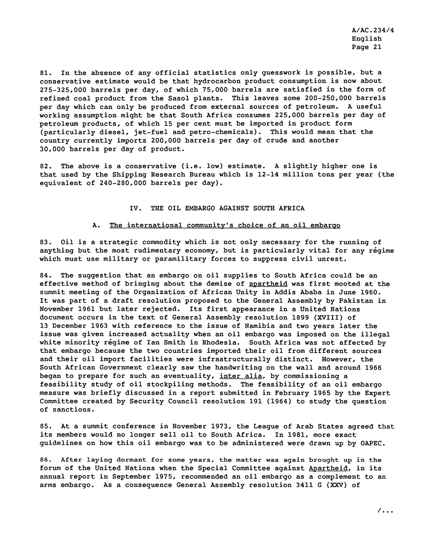81. In the absence of any official statistics only guesswork is possible, but a conservative estimate would be that hydrocarbon product consumption is now about 275-325,000 barrels per day, of which 75,000 barrels are satisfied in the form of refined coal product from the Sasol plants. This leaves some 200-250,000 barrels per day which can only be produced from external sources of petroleum. A useful working assumption might be that South Africa consumes 225,000 barrels per day of petroleum products, of which 15 per cent must be imported in product form (particularly diesel, jet-fuel and petro-chemicals). This would mean that the country currently imports 200,000 barrels per day of crude and another 30,000 barrels per day of product.

82. The above is a conservative (i.e. low) estimate. A slightly higher one is that used by the Shipping Research Bureau which is 12-14 million tons per year (the equivalent of 240-280,000 barrels per day).

#### IV. THE OIL EMBARGO AGAINST SOUTH AFRICA

#### A. The international community's choice of an oil embargo

83. Oil is a strategic commodity which is not only necessary for the running of anything but the most rudimentary economy, but is particularly vital for any régime which must use military or paramilitary forces to suppress civil unrest.

84. The suggestion that an embargo on oil supplies to South Africa could be an effective method of bringing about the demise of apartheid was first mooted at the summit meeting of the Organization of African Unity in Addis Ababa in June 1960. It was part of a draft resolution proposed to the General Assembly by Pakistan in November 1961 but later rejected. Its first appearance in a United Nations document occurs in the text of General Assembly resolution 1899 (XVIII) of 13 December 1963 with reference to the issue of Namibia and two years later the issue was given increased actuality when an oil embargo was imposed on the illegal white minority régime of Ian Smith in Rhodesia. South Africa was not affected by that embargo because the two countries imported their oil from different sources and their oil import facilities were infrastructurally distinct. However, the South African Government clearly saw the handwriting on the wall and around 1966 began to prepare for such an eventuality, inter alia, by commissioning a feasibility study of oil stockpiling methods. The feasibility of an oil embargo measure was briefly discussed in a report submitted in February 1965 by the Expert Committee created by Security Council resolution 191 (1964) to study the question of sanctions.

85. At a summit conference in November 1973, the League of Arab States agreed that its members would no longer sell oil to South Africa. In 1981, more exact guidelines on how this oil embargo was to be administered were drawn up by OAPEC.

**86. After laying dormant for some years, the matter was again brought up in the**  forum of the United Nations when the Special Committee against Apartheid, in its annual report in September 1975, recommended an oil embargo as a complement to an arms embargo. As a consequence General Assembly resolution 3411 G (XXV) of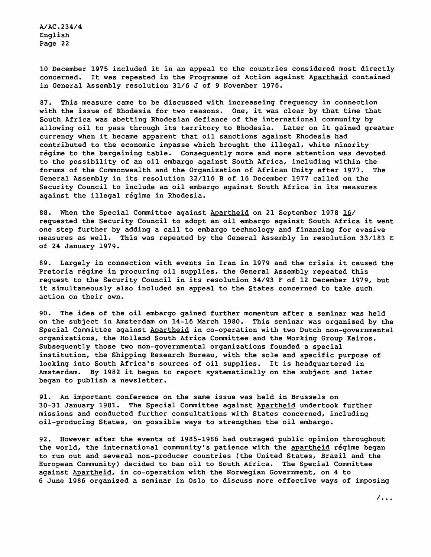10 December 1975 included it in an appeal to the countries considered most directly concerned. It was repeated in the Programme of Action against Apartheid contained in General Assembly resolution 31/6 J of 9 November 1976.

87. This measure came to be discussed with increaseing frequency in connection with the issue of Rhodesia for two reasons. One, it was clear by that time that South Africa was abetting Rhodesian defiance of the international community by allowing oil to pass through its territory to Rhodesia. Later on it gained greater currency when it became apparent that oil sanctions against Rhodesia had contributed to the economic impasse which brought the illegal, white minority réqime to the bargaining table. Consequently more and more attention was devoted to the possibility of an oil embargo against South Africa, including within the forums of the Commonwealth and the Organization of African Unity after 1977. The General Assembly in its resolution 32/116 B of 16 December 1977 called on the Security Council to include an oil embargo against South Africa in its measures against the illegal régime in Rhodesia.

88. When the Special Committee against Apartheid on 21 September 1978 16/ requested the Security Council to adopt an oil embargo against South Africa it went one step further by adding a call to embargo technology and financing for evasive measures as well. This was repeated by the General Assembly in resolution 33/183 E of 24 January 1979.

89. Largely in connection with events in Iran in 1979 and the crisis it caused the Pretoria régime in procuring oil supplies, the General Assembly repeated this request to the Security Council in its resolution 34/93 F of 12 December 1979, but it simultaneously also included an appeal to the States concerned to take such action on their own.

90. The idea of the oil embargo gained further momentum after a seminar was held on the subject in Amsterdam on 14-16 March 1980. This seminar was organized by the Special Committee against Apartheid in co-operation with two Dutch non-governmental organizations, the Holland South Africa Committee and the Working Group Kairos. Subsequently those two non-governmental organizations founded a special institution, the Shipping Research Bureau, with the sole and specific purpose of looking into South Africa's sources of oil supplies. It is headquartered in Amsterdam. By 1982 it began to report systematically on the subject and later began to publish a newsletter.

91. An important conference on the same issue was held in Brussels on 30-31 January 1981. The Special Committee against Apartheid undertook further missions and conducted further consultations with States concerned, including oil-producing States, on possible ways to strengthen the oil embargo.

92. However after the events of 1985-1986 had outraged public opinion throughout the world, the international community's patience with the apartheid régime began to run out and several non-producer countries (the United States, Brazil and the European Community) decided to ban oil to South Africa. The Special Committee against Apartheid, in co-operation with the Norwegian Government, on 4 to 6 June 1986 organized a seminar in Oslo to discuss more effective ways of imposing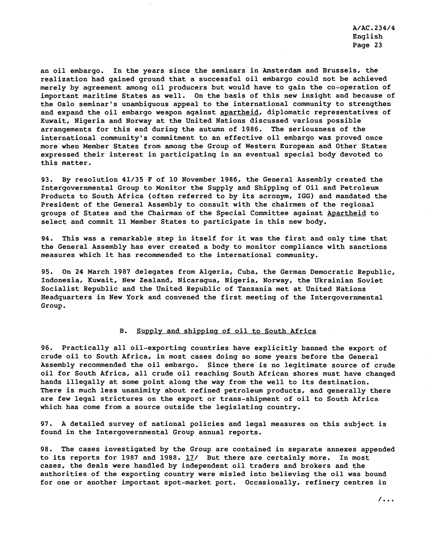an oil embargo. In the years since the seminars in Amsterdam and Brussels, the realization had gained ground that a successful oil embargo could not be achieved merely by agreement among oil producers but would have to gain the co-operation of important maritime States as well. On the basis of this new insight and because of the Oslo seminar's unambiguous appeal to the international community to strengthen and expand the oil embargo weapon against apartheid, diplomatic representatives of Kuwait, Nigeria and Norway at the United Nations discussed various possible arrangements for this end during the autumn of 1986. The seriousness of the international community's commitment to an effective oil embargo was proved once more when Member States from among the Group of Western European and Other States expressed their interest in participating in an eventual special body devoted to this matter.

93. By resolution 41/35 F of 10 November 1986, the General Assembly created the Intergovernmental Group to Monitor the Supply and Shipping of Oil and Petroleum Products to South Africa (often referred to by its acronym, IGG) and mandated the President of the General Assembly to consult with the chairmen of the regional groups of States and the Chairman of the Special Committee against Apartheid to select and commit 11 Member States to participate in this new body.

94. This was a remarkable step in itself for it was the first and only time that the General Assembly has ever created a body to monitor compliance with sanctions measures which it has recommended to the international community.

95. On 24 March 1987 delegates from Algeria, Cuba, the German Democratic Republic, Indonesia, Kuwait, New Zealand, Nicaragua, Nigeria, Norway, the Ukrainian Soviet Socialist Republic and the United Republic of Tanzania met at United Nations Headquarters in New York and convened the first meeting of the Intergovernmental Group.

#### B. Supply and shipping of oil to South Africa

96. Practically all oil-exporting countries have explicitly banned the export of crude oil to South Africa, in most cases doing so some years before the General Assembly recommended the oil embargo. Since there is no legitimate source of crude oil for South Africa, all crude oil reaching South African shores must have changed hands illegally at some point along the way from the well to its destination. There is much less unanimity about refined petroleum products, and generally there are few legal strictures on the export or trans-shipment of oil to South Africa which has come from a source outside the legislating country.

97. A detailed survey of national policies and legal measures on this subject is found in the Intergovernmental Group annual reports.

98. The cases investigated by the Group are contained in separate annexes appended to its reports for 1987 and 1988.  $17/$  But there are certainly more. In most cases, the deals were handled by independent oil traders and brokers and the authorities of the exporting country were misled into believing the oil was bound for one or another important spot-market port. Occasionally, refinery centres in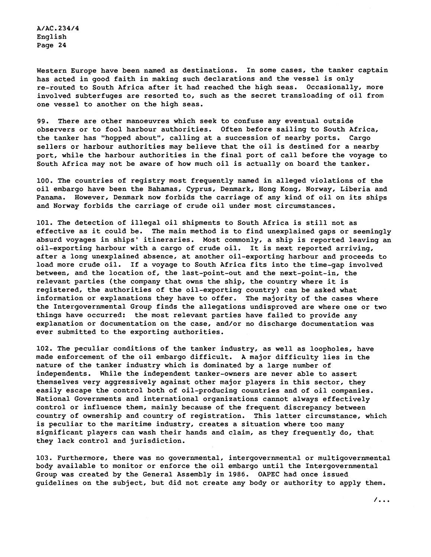Western Europe have been named as destinations. In some cases, the tanker captain has acted in good faith in making such declarations and the vessel is only re-routed to South Africa after it had reached the high seas. Occasionally, more involved subterfuges are resorted to, such as the secret transloading of oil from one vessel to another on the high seas.

99. There are other manoeuvres which seek to confuse any eventual outside observers or to fool harbour authorities. Often before sailing to South Africa, the tanker has "hopped about", calling at a succession of nearby ports. Cargo sellers or harbour authorities may believe that the oil is destined for a nearby port, while the harbour authorities in the final port of call before the voyage to South Africa may not be aware of how much oil is actually on board the tanker.

100. The countries of registry most frequently named in alleged violations of the oil embargo have been the Bahamas, Cyprus, Denmark, Hong Kong, Norway, Liberia and Panama. However, Denmark now forbids the carriage of any kind of oil on its ships and Norway forbids the carriage of crude oil under most circumstances.

101. The detection of illegal oil shipments to South Africa is still not as effective as it could be. The main method is to find unexplained gaps or seemingly absurd voyages in ships' itineraries. Most commonly, a ship is reported leaving an oil-exporting harbour with a cargo of crude oil. It is next reported arriving, after a long unexplained absence, at another oil-exporting harbour and proceeds to load more crude oil. If a voyage to South Africa fits into the time-gap involved between, and the location of, the last-point-out and the next-point-in, the relevant parties (the company that owns the ship, the country where it is registered, the authorities of the oil-exporting country) can be asked what information or explanations they have to offer. The majority of the cases where the Intergovernmental Group finds the allegations undisproved are where one or two things have occurred: the most relevant parties have failed to provide any explanation or documentation on the case, and/or no discharge documentation was ever submitted to the exporting authorities.

102. The peculiar conditions of the tanker industry, as well as loopholes, have made enforcement of the oil embargo difficult. A major difficulty lies in the nature of the tanker industry which is dominated by a large number of independents. While the independent tanker-owners are never able to assert themselves very aggressively against other major players in this sector, they easily escape the control both of oil-producing countries and of oil companies. National Governments and international organizations cannot always effectively control or influence them, mainly because of the frequent discrepancy between country of ownership and country of registration. This latter circumstance, which is peculiar to the maritime industry, creates a situation where too many significant players can wash their hands and claim, as they frequently do, that they lack control and jurisdiction.

103. Furthermore, there was no governmental, intergovernmental or multigovernmental body available to monitor or enforce the oil embargo until the Intergovernmental Group was created by the General Assembly in 1986. OAPEC had once issued guidelines on the subject, but did not create any body or authority to apply them.

 $\overline{\phantom{a}}$ .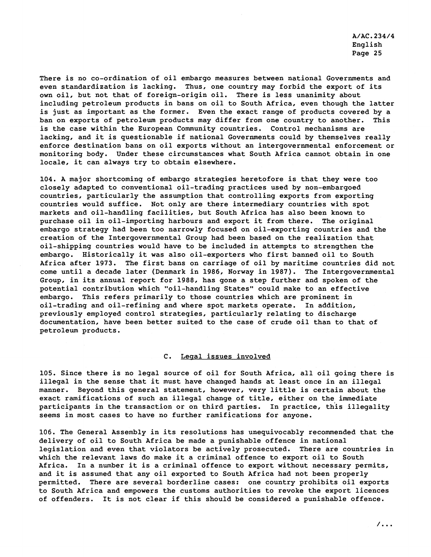There is no co-ordination of oil embargo measures between national Governments and even standardization is lacking. Thus, one country may forbid the export of its own oil, but not that of foreign-origin oil. There is less unanimity about including petroleum products in bans on oil to South Africa, even though the latter is just as important as the former. Even the exact range of products covered by a ban on exports of petroleum products may differ from one country to another. This is the case within the European Community countries. Control mechanisms are lacking, and it is questionable if national Governments could by themselves really enforce destination bans on oil exports without an intergovernmental enforcement or monitoring body. Under these circumstances what South Africa cannot obtain in one locale, it can always try to obtain elsewhere.

104. A major shortcoming of embargo strategies heretofore is that they were too closely adapted to conventional oil-trading practices used by non-embargoed countries, particularly the assumption that controlling exports from exporting countries would suffice. Not only are there intermediary countries with spot markets and oil-handling facilities, but South Africa has also been known to purchase oil in oil-importing harbours and export it from there. The original embargo strategy had been too narrowly focused on oil-exporting countries and the creation of the Intergovernmental Group had been based on the realization that oil-shipping countries would have to be included in attempts to strengthen the embargo. Historically it was also oil-exporters who first banned oil to South Africa after 1973. The first bans on carriage of oil by maritime countries did not come until a decade later (Denmark in 1986, Norway in 1987). The Intergovernmental Group, in its annual report for 1988, has gone a step further and spoken of the potential contribution which "oil-handling States" could make to an effective embargo. This refers primarily to those countries which are prominent in oil-trading and oil-refining and where spot markets operate. In addition, previously employed control strategies, particularly relating to discharge documentation, have been better suited to the case of crude oil than to that of petroleum products.

#### C. Legal issues involved

105. Since there is no legal source of oil for South Africa, all oil going there is illegal in the sense that it must have changed hands at least once in an illegal manner. Beyond this general statement, however, very little is certain about the exact ramifications of such an illegal change of title, either on the immediate participants in the transaction or on third parties. In practice, this illegality seems in most cases to have no further ramifications for anyone.

106. The General Assembly in its resolutions has unequivocably recommended that the delivery of oil to South Africa be made a punishable offence in national legislation and even that violators be actively prosecuted. There are countries in which the relevant laws do make it a criminal offence to export oil to South Africa. In a number it is a criminal offence to export without necessary permits, and it is assumed that any oil exported to South Africa had not been properly permitted. There are several borderline cases: one country prohibits oil exports to South Africa and empowers the customs authorities to revoke the export licences of offenders. It is not clear if this should be considered a punishable offence.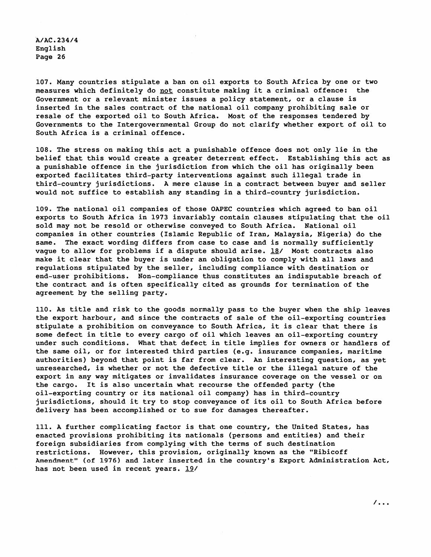107. Many countries stipulate a ban on oil exports to South Africa by one or two measures which definitely do not constitute making it a criminal offence: the Government or a relevant minister issues a policy statement, or a clause is inserted in the sales contract of the national oil company prohibiting sale or resale of the exported oil to South Africa. Most of the responses tendered by Governments to the Intergovernmental Group do not clarify whether export of oil to South Africa is a criminal offence.

108. The stress on making this act a punishable offence does not only lie in the belief that this would create a greater deterrent effect. Establishing this act as a punishable offence in the jurisdiction from which the oil has originally been exported facilitates third-party interventions against such illegal trade in third-country jurisdictions. A mere clause in a contract between buyer and seller would not suffice to establish any standing in a third-country jurisdiction.

109. The national oil companies of those OAPEC countries which agreed to ban oil exports to South Africa in 1973 invariably contain clauses stipulating that the oil sold may not be resold or otherwise conveyed to South Africa. National oil companies in other countries (Islamic Republic of Iran, Malaysia, Nigeria) do the same. The exact wording differs from case to case and is normally sufficiently vague to allow for problems if a dispute should arise. 18/ Most contracts also make it clear that the buyer is under an obligation to comply with all laws and regulations stipulated by the seller, including compliance with destination or end-user prohibitions. Non-compliance thus constitutes an indisputable breach of the contract and is often specifically cited as grounds for termination of the agreement by the selling party.

110. As title and risk to the goods normally pass to the buyer when the ship leaves the export harbour, and since the contracts of sale of the oil-exporting countries stipulate a prohibition on conveyance to South Africa, it is clear that there is some defect in title to every cargo of oil which leaves an oil-exporting country under such conditions. What that defect in title implies for owners or handlers of the same oil, or for interested third parties (e.g. insurance companies, maritime authorities) beyond that point is far from clear. An interesting question, as yet unresearched, is whether or not the defective title or the illegal nature of the export in any way mitigates or invalidates insurance coverage on the vessel or on the cargo. It is also uncertain what recourse the offended party (the oil-exporting country or its national oil company) has in third-country jurisdictions, should it try to stop conveyance of its oil to South Africa before delivery has been accomplished or to sue for damages thereafter.

111. A further complicating factor is that one country, the United States, has enacted provisions prohibiting its nationals (persons and entities) and their foreign subsidiaries from complying with the terms of such destination restrictions. However, this provision, originally known as the "Ribicoff Amendment" (of 1976) and later inserted in the country's Export Administration Act, has not been used in recent years. 19/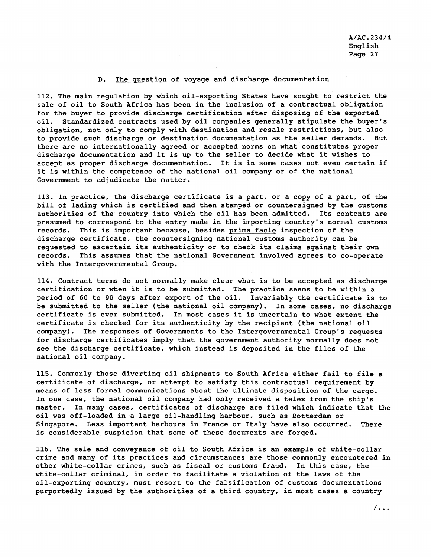#### D. The question of voyage and discharge documentation

112. The main regulation by which oil-exporting States have sought to restrict the sale of oil to South Africa has been in the inclusion of a contractual obligation for the buyer to provide discharge certification after disposing of the exported oil. Standardized contracts used by oil companies generally stipulate the buyer's obligation, not only to comply with destination and resale restrictions, but also to provide such discharge or destination documentation as the seller demands. But there are no internationally agreed or accepted norms on what constitutes proper discharge documentation and it is up to the seller to decide what it wishes to accept as proper discharge documentation. It is in some cases not even certain if it is within the competence of the national oil company or of the national Government to adjudicate the matter.

113. In practice, the discharge certificate is a part, or a copy of a part, of the bill of lading which is certified and then stamped or countersigned by the customs authorities of the country into which the oil has been admitted. Its contents are presumed to correspond to the entry made in the importing country's normal customs records. This is important because, besides prima facie inspection of the discharge certificate, the countersigning national customs authority can be requested to ascertain its authenticity or to check its claims against their own records. This assumes that the national Government involved agrees to co-operate with the Intergovernmental Group.

114. Contract terms do not normally make clear what is to be accepted as discharge certification or when it is to be submitted. The practice seems to be within a period of 60 to 90 days after export of the oil. Invariably the certificate is to be submitted to the seller (the national oil company). In some cases, no discharge certificate is ever submitted. In most cases it is uncertain to what extent the certificate is checked for its authenticity by the recipient (the national oil company). The responses of Governments to the Intergovernmental Group's requests for discharge certificates imply that the government authority normally does not see the discharge certificate, which instead is deposited in the files of the national oil company.

115. Commonly those diverting oil shipments to South Africa either fail to file a certificate of discharge, or attempt to satisfy this contractual requirement by means of less formal communications about the ultimate disposition of the cargo. In one case, the national oil company had only received a telex from the ship's master. In many cases, certificates of discharge are filed which indicate that the oil was off-loaded in a large oil-handling harbour, such as Rotterdam or Singapore. Less important harbours in France or Italy have also occurred. There is considerable suspicion that some of these documents are forged.

116. The sale and conveyance of oil to South Africa is an example of white-collar crime and many of its practices and circumstances are those commonly encountered in other white-collar crimes, such as fiscal or customs fraud. In this case, the white-collar criminal, in order to facilitate a violation of the laws of the oil-exporting country, must resort to the falsification of customs documentations purportedly issued by the authorities of a third country, in most cases a country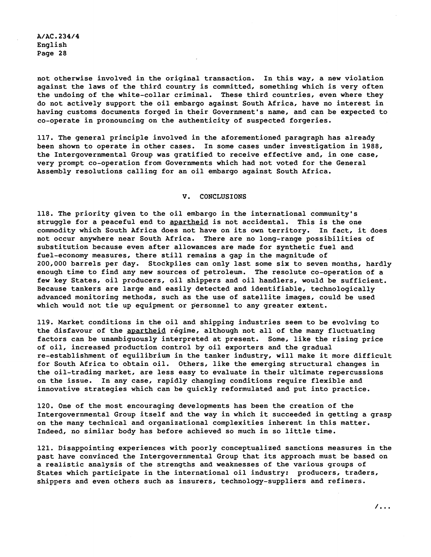not otherwise involved in the original transaction. In this way, a new violation against the laws of the third country is committed, something which is very often the undoing of the white-collar criminal. These third countries, even where they do not actively support the oil embargo against South Africa, have no interest in having customs documents forged in their Government's name, and can be expected to co-operate in pronouncing on the authenticity of suspected forgeries.

117. The general principle involved in the aforementioned paragraph has already been shown to operate in other cases. In some cases under investigation in 1988, the Intergovernmental Group was gratified to receive effective and, in one case, very prompt co-operation from Governments which had not voted for the General Assembly resolutions calling for an oil embargo against South Africa.

#### **V. CONCLUSIONS**

118. The priority given to the oil embargo in the international community's struggle for a peaceful end to apartheid is not accidental. This is the one commodity which South Africa does not have on its own territory. In fact, it does not occur anywhere near South Africa. There are no long-range possibilities of substitution because even after allowances are made for synthetic fuel and fuel-economy measures, there still remains a gap in the magnitude of 200,000 barrels per day. Stockpiles can only last some six to seven months, hardly enough time to find any new sources of petroleum. The resolute co-operation of a few key States, oil producers, oil shippers and oil handlers, would be sufficient. Because tankers are large and easily detected and identifiable, technologically advanced monitoring methods, such as the use of satellite images, could be used which would not tie up equipment or personnel to any greater extent.

119. Market conditions in the oil and shipping industries seem to be evolving to the disfavour of the apartheid régime, although not all of the many fluctuating factors can be unambiguously interpreted at present. Some, like the rising price of oil, increased production control by oil exporters and the gradual re-establishment of equilibrium in the tanker industry, will make it more difficult for South Africa to obtain oil. Others, like the emerging structural changes in the oil-trading market, are less easy to evaluate in their ultimate repercussions on the issue. In any case, rapidly changing conditions require flexible and innovative strategies which can be quickly reformulated and put into practice.

120. One of the most encouraging developments has been the creation of the Intergovernmental Group itself and the way in which it succeeded in getting a grasp on the many technical and organizational complexities inherent in this matter. Indeed, no similar body has before achieved so much in so little time.

121. Disappointing experiences with poorly conceptualized sanctions measures in the past have convinced the Intergovernmental Group that its approach must be based on a realistic analysis of the strengths and weaknesses of the various groups of States which participate in the international oil industry: producers, traders, shippers and even others such as insurers, technology-suppliers and refiners.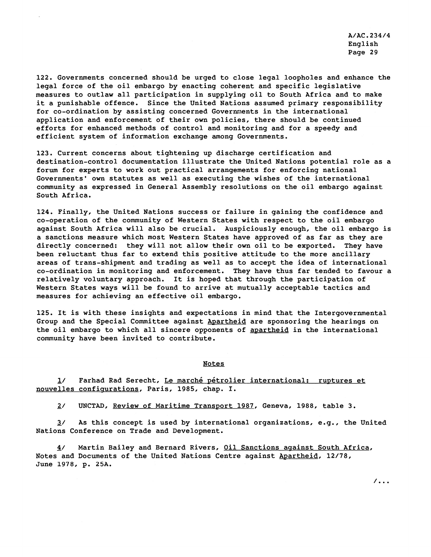122. Governments concerned should be urged to close legal loopholes and enhance the legal force of the oil embargo by enacting coherent and specific legislative measures to outlaw all participation in supplying oil to South Africa and to make it a punishable offence. Since the United Nations assumed primary responsibility for co-ordination by assisting concerned Governments in the international application and enforcement of their own policies, there should be continued efforts for enhanced methods of control and monitoring and for a speedy and efficient system of information exchange among Governments.

123. Current concerns about tightening up discharge certification and destination-control documentation illustrate the United Nations potential role as a forum for experts to work out practical arrangements for enforcing national Governments' own statutes as well as executing the wishes of the international community as expressed in General Assembly resolutions on the oil embargo against South Africa.

124. Finally, the United Nations success or failure in gaining the confidence and co-operation of the community of Western States with respect to the oil embargo against South Africa will also be crucial. Auspiciously enough, the oil embargo is a sanctions measure which most Western States have approved of as far as they are directly concerned: they will not allow their own oil to be exported. They have been reluctant thus far to extend this positive attitude to the more ancillary areas of trans-shipment and trading as well as to accept the idea of international co-ordination in monitoring and enforcement. They have thus far tended to favour a relatively voluntary approach. It is hoped that through the participation of Western States ways will be found to arrive at mutually acceptable tactics and measures for achieving an effective oil embargo.

125. It is with these insights and expectations in mind that the Intergovernmental Group and the Special Committee against Apartheid are sponsoring the hearings on the oil embargo to which all sincere opponents of apartheid in the international community have been invited to contribute.

#### Notes

1/ Farhad Rad Serecht, Le marché pétrolier international: ruptures et nouvelles configurations, Paris, 1985, chap. I.

2/ UNCTAD, Review of Maritime Transport 1987, Geneva, 1988, table 3.

 $3/$  As this concept is used by international organizations, e.g., the United Nations Conference on Trade and Development.

4/ Martin Bailey and Bernard Rivers, Oil Sanctions against South Africa, Notes and Documents of the United Nations Centre against Apartheid, 12/78, June 1978, p. 25A.

 $\prime$ ...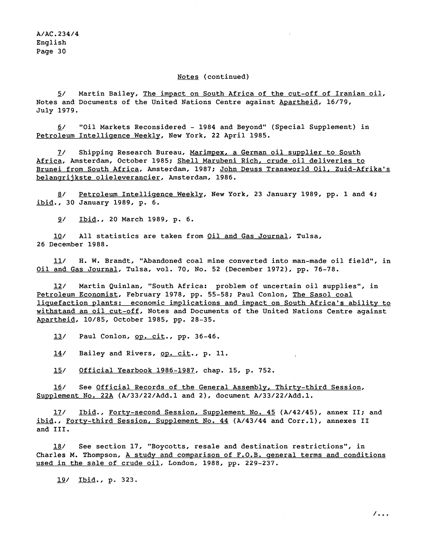#### Notes (continued)

5/ Martin Bailey, The impact on South Africa of the cut-off of Iranian oil, Notes and Documents of the United Nations Centre against Apartheid, 16/79, July 1979.

- 6/ "Oil Markets Reconsidered - 1984 and Beyond" (Special Supplement) in Petroleum Intelligence Weekly, New York, 22 April 1985.

7/ Shipping Research Bureau, Marimpex, a German oil supplier to South Africa, Amsterdam, October 1985: Shell Marubeni Rich, crude oil deliveries to Brunei from South Africa, Amsterdam, 1987; John Deuss Transworld Oil, Zuid-Afrika's belangrijkste olieleverancier, Amsterdam, 1986.

- 8/ Petroleum Intelliqence Weekly, New York, 23 January 1989, pp. 1 and **4;**  ibid., 30 January 1989, p. 6.

9/ Ibid., 20 March 1989, p. 6.

10/ All statistics are taken from Oil and Gas Journal, Tulsa, 26 December 1988.

11/ H. W. Brandt, "Abandoned coal mine converted into man-made oil field", in Oil and Gas Journal, Tulsa, vol. 70, No. 52 (December 1972), pp. 76-78.

12/ Martin Quinlan, "South Africa: problem of uncertain oil supplies", in Petroleum Economist, February 1978, pp. 55-58; Paul Conlon, The Sasol coal liquefaction plants: economic implications and impact on South Africa's ability to withstand an oil cut-off, Notes and Documents of the United Nations Centre against Apartheid, 10/85, October 1985, pp. 28–35.<br>13/ Paul Conlon, <u>op. cit</u>., pp. 36–46.

13/ Paul Conlon, <u>op. cit</u>., pp. 36-46.<br>14/ Bailey and Rivers, <u>op. cit</u>., p. 11.

15/ Official Yearbook 1986-1987, chap. 15, p. 752.

16/ See Official Records of the General Assembly, Thirty-third Session, Supplement No. 22A (A/33/22/Add.l and 2), document A/33/22/Add.l.

17/ Ibid., Forty-second Session, Supplement No. 45 (A/42/45), annex II; and ibid., Forty-third Session, Supplement No. 44 (A/43/44 and Corr.1), annexes II and 111.

18/ See section 17, "Boycotts, resale and destination restrictions", in Charles M. Thompson, A study and comparison of F.O.B. general terms and conditions used in the sale of crude oil, London, 1988, pp. 229-237.<br>19/ Ibid., p. 323.